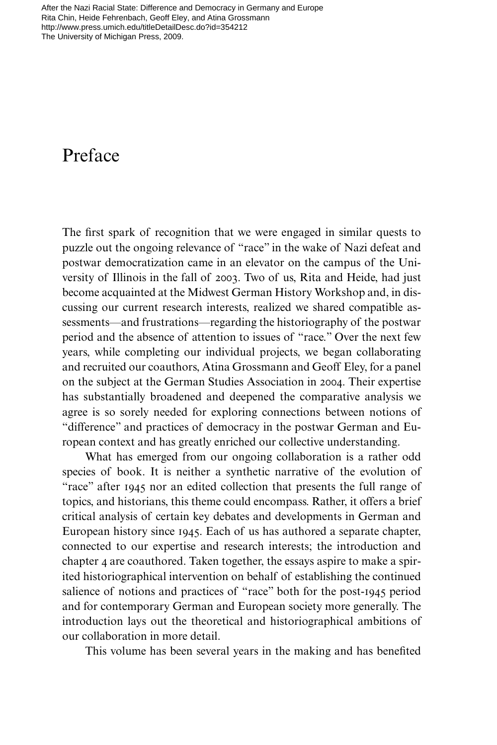[After the Nazi Racial State: Difference and Democracy in Germany and Europe](http://www.press.umich.edu/titleDetailDesc.do?id=354212)  Rita Chin, Heide Fehrenbach, Geoff Eley, and Atina Grossmann http://www.press.umich.edu/titleDetailDesc.do?id=354212 The University of Michigan Press, 2009.

## Preface

The first spark of recognition that we were engaged in similar quests to puzzle out the ongoing relevance of "race" in the wake of Nazi defeat and postwar democratization came in an elevator on the campus of the University of Illinois in the fall of 2003. Two of us, Rita and Heide, had just become acquainted at the Midwest German History Workshop and, in discussing our current research interests, realized we shared compatible assessments—and frustrations—regarding the historiography of the postwar period and the absence of attention to issues of "race." Over the next few years, while completing our individual projects, we began collaborating and recruited our coauthors, Atina Grossmann and Geoff Eley, for a panel on the subject at the German Studies Association in 2004. Their expertise has substantially broadened and deepened the comparative analysis we agree is so sorely needed for exploring connections between notions of "difference" and practices of democracy in the postwar German and European context and has greatly enriched our collective understanding.

What has emerged from our ongoing collaboration is a rather odd species of book. It is neither a synthetic narrative of the evolution of "race" after 1945 nor an edited collection that presents the full range of topics, and historians, this theme could encompass. Rather, it offers a brief critical analysis of certain key debates and developments in German and European history since 1945. Each of us has authored a separate chapter, connected to our expertise and research interests; the introduction and chapter 4 are coauthored. Taken together, the essays aspire to make a spirited historiographical intervention on behalf of establishing the continued salience of notions and practices of "race" both for the post-1945 period and for contemporary German and European society more generally. The introduction lays out the theoretical and historiographical ambitions of our collaboration in more detail.

This volume has been several years in the making and has benefited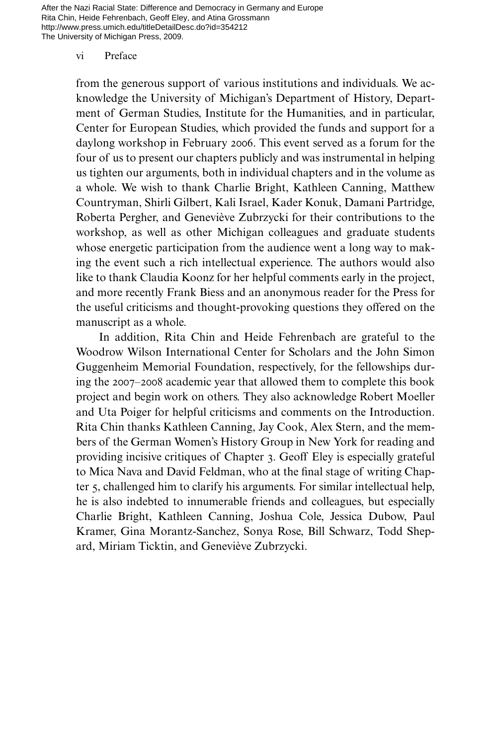After the Nazi Racial State: Difference and Democracy in Germany and Europe Rita Chin, Heide Fehrenbach, Geoff Eley, and Atina Grossmann http://www.press.umich.edu/titleDetailDesc.do?id=354212 The University of Michigan Press, 2009.

## vi Preface

from the generous support of various institutions and individuals. We acknowledge the University of Michigan's Department of History, Department of German Studies, Institute for the Humanities, and in particular, Center for European Studies, which provided the funds and support for a daylong workshop in February 2006. This event served as a forum for the four of us to present our chapters publicly and was instrumental in helping us tighten our arguments, both in individual chapters and in the volume as a whole. We wish to thank Charlie Bright, Kathleen Canning, Matthew Countryman, Shirli Gilbert, Kali Israel, Kader Konuk, Damani Partridge, Roberta Pergher, and Geneviève Zubrzycki for their contributions to the workshop, as well as other Michigan colleagues and graduate students whose energetic participation from the audience went a long way to making the event such a rich intellectual experience. The authors would also like to thank Claudia Koonz for her helpful comments early in the project, and more recently Frank Biess and an anonymous reader for the Press for the useful criticisms and thought-provoking questions they offered on the manuscript as a whole.

In addition, Rita Chin and Heide Fehrenbach are grateful to the Woodrow Wilson International Center for Scholars and the John Simon Guggenheim Memorial Foundation, respectively, for the fellowships during the 2007–2008 academic year that allowed them to complete this book project and begin work on others. They also acknowledge Robert Moeller and Uta Poiger for helpful criticisms and comments on the Introduction. Rita Chin thanks Kathleen Canning, Jay Cook, Alex Stern, and the members of the German Women's History Group in New York for reading and providing incisive critiques of Chapter 3. Geoff Eley is especially grateful to Mica Nava and David Feldman, who at the final stage of writing Chapter 5, challenged him to clarify his arguments. For similar intellectual help, he is also indebted to innumerable friends and colleagues, but especially Charlie Bright, Kathleen Canning, Joshua Cole, Jessica Dubow, Paul Kramer, Gina Morantz-Sanchez, Sonya Rose, Bill Schwarz, Todd Shepard, Miriam Ticktin, and Geneviève Zubrzycki.